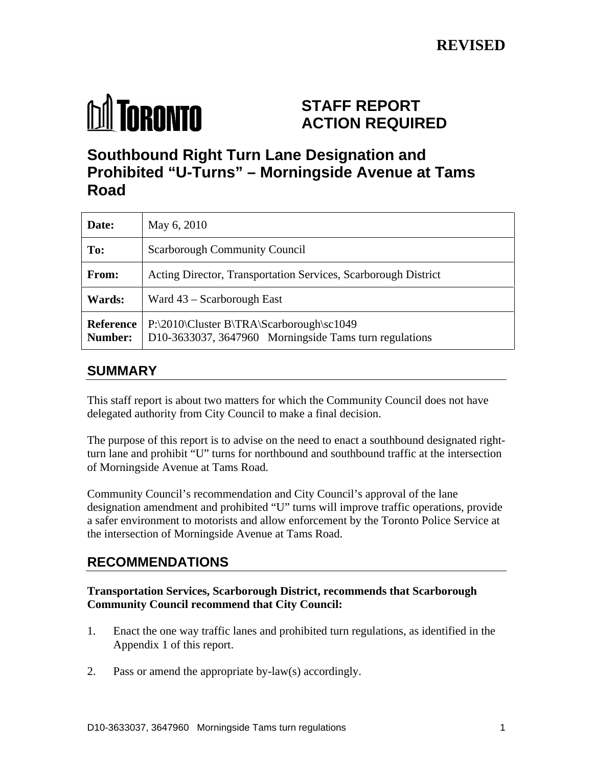

# **STAFF REPORT ACTION REQUIRED**

# **Southbound Right Turn Lane Designation and Prohibited "U-Turns" – Morningside Avenue at Tams Road**

| Date:         | May 6, 2010                                                                                                            |
|---------------|------------------------------------------------------------------------------------------------------------------------|
| To:           | <b>Scarborough Community Council</b>                                                                                   |
| From:         | Acting Director, Transportation Services, Scarborough District                                                         |
| <b>Wards:</b> | Ward $43$ – Scarborough East                                                                                           |
|               | Reference   P:\2010\Cluster B\TRA\Scarborough\sc1049<br>Number: D10-3633037, 3647960 Morningside Tams turn regulations |

## **SUMMARY**

This staff report is about two matters for which the Community Council does not have delegated authority from City Council to make a final decision.

The purpose of this report is to advise on the need to enact a southbound designated rightturn lane and prohibit "U" turns for northbound and southbound traffic at the intersection of Morningside Avenue at Tams Road.

Community Council's recommendation and City Council's approval of the lane designation amendment and prohibited "U" turns will improve traffic operations, provide a safer environment to motorists and allow enforcement by the Toronto Police Service at the intersection of Morningside Avenue at Tams Road.

## **RECOMMENDATIONS**

### **Transportation Services, Scarborough District, recommends that Scarborough Community Council recommend that City Council:**

- 1. Enact the one way traffic lanes and prohibited turn regulations, as identified in the Appendix 1 of this report.
- 2. Pass or amend the appropriate by-law(s) accordingly.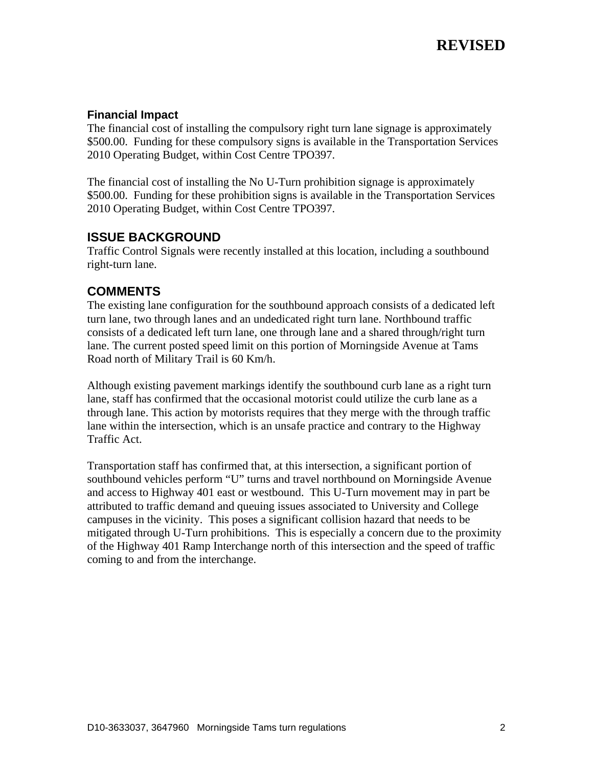#### **Financial Impact**

The financial cost of installing the compulsory right turn lane signage is approximately \$500.00. Funding for these compulsory signs is available in the Transportation Services 2010 Operating Budget, within Cost Centre TPO397.

The financial cost of installing the No U-Turn prohibition signage is approximately \$500.00. Funding for these prohibition signs is available in the Transportation Services 2010 Operating Budget, within Cost Centre TPO397.

## **ISSUE BACKGROUND**

Traffic Control Signals were recently installed at this location, including a southbound right-turn lane.

## **COMMENTS**

The existing lane configuration for the southbound approach consists of a dedicated left turn lane, two through lanes and an undedicated right turn lane. Northbound traffic consists of a dedicated left turn lane, one through lane and a shared through/right turn lane. The current posted speed limit on this portion of Morningside Avenue at Tams Road north of Military Trail is 60 Km/h.

Although existing pavement markings identify the southbound curb lane as a right turn lane, staff has confirmed that the occasional motorist could utilize the curb lane as a through lane. This action by motorists requires that they merge with the through traffic lane within the intersection, which is an unsafe practice and contrary to the Highway Traffic Act.

Transportation staff has confirmed that, at this intersection, a significant portion of southbound vehicles perform "U" turns and travel northbound on Morningside Avenue and access to Highway 401 east or westbound. This U-Turn movement may in part be attributed to traffic demand and queuing issues associated to University and College campuses in the vicinity. This poses a significant collision hazard that needs to be mitigated through U-Turn prohibitions. This is especially a concern due to the proximity of the Highway 401 Ramp Interchange north of this intersection and the speed of traffic coming to and from the interchange.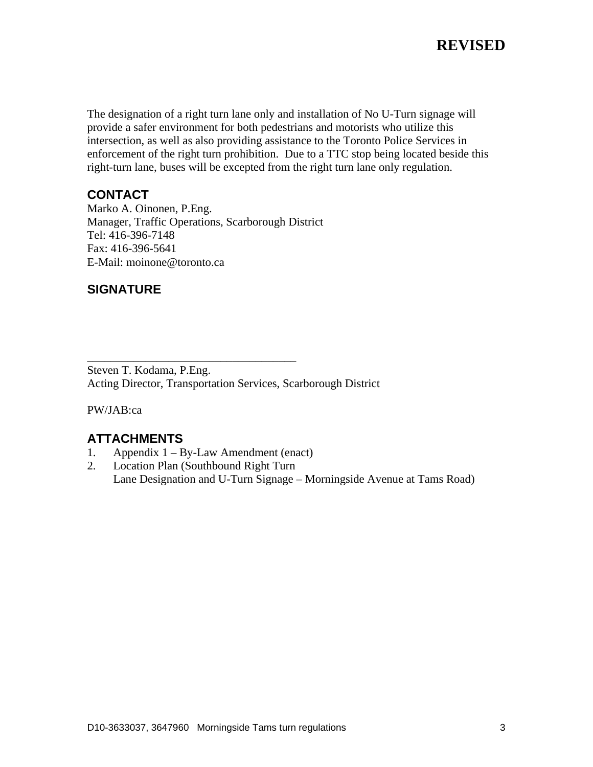# **REVISED**

The designation of a right turn lane only and installation of No U-Turn signage will provide a safer environment for both pedestrians and motorists who utilize this intersection, as well as also providing assistance to the Toronto Police Services in enforcement of the right turn prohibition. Due to a TTC stop being located beside this right-turn lane, buses will be excepted from the right turn lane only regulation.

#### **CONTACT**

Marko A. Oinonen, P.Eng. Manager, Traffic Operations, Scarborough District Tel: 416-396-7148 Fax: 416-396-5641 E-Mail: moinone@toronto.ca

### **SIGNATURE**

Steven T. Kodama, P.Eng. Acting Director, Transportation Services, Scarborough District

PW/JAB:ca

### **ATTACHMENTS**

- 1. Appendix 1 By-Law Amendment (enact)
- 2. Location Plan (Southbound Right Turn Lane Designation and U-Turn Signage – Morningside Avenue at Tams Road)

 $\overline{\phantom{a}}$  , we are assumed to the contract of the contract of the contract of the contract of the contract of the contract of the contract of the contract of the contract of the contract of the contract of the contract